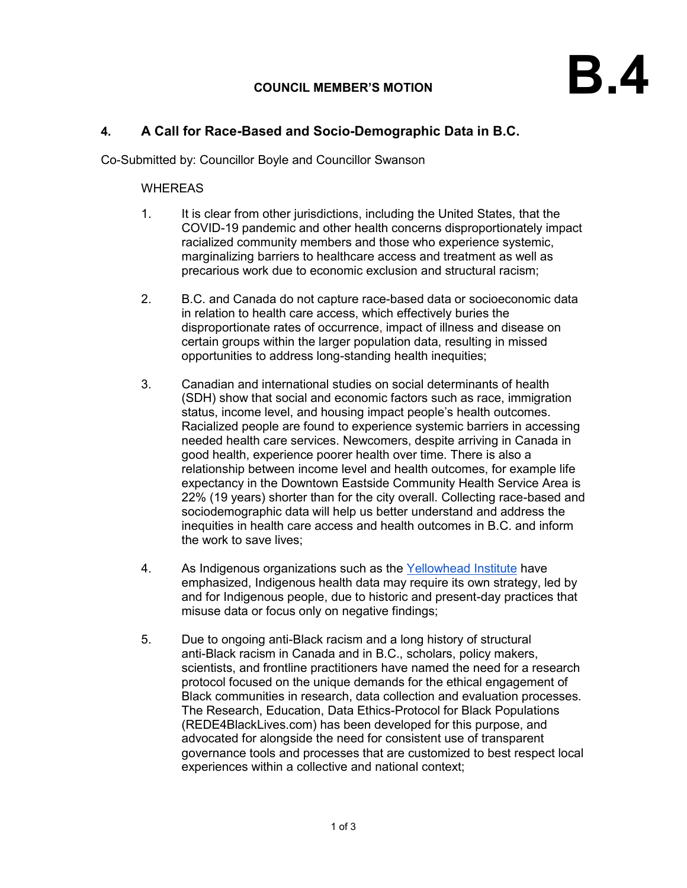## **COUNCIL MEMBER'S MOTION**

## **4. A Call for Race-Based and Socio-Demographic Data in B.C.**

Co-Submitted by: Councillor Boyle and Councillor Swanson

## WHEREAS

- 1. It is clear from other jurisdictions, including the United States, that the COVID-19 pandemic and other health concerns disproportionately impact racialized community members and those who experience systemic, marginalizing barriers to healthcare access and treatment as well as precarious work due to economic exclusion and structural racism;
- 2. B.C. and Canada do not capture race-based data or socioeconomic data in relation to health care access, which effectively buries the disproportionate rates of occurrence, impact of illness and disease on certain groups within the larger population data, resulting in missed opportunities to address long-standing health inequities;
- 3. Canadian and international studies on social determinants of health (SDH) show that social and economic factors such as race, immigration status, income level, and housing impact people's health outcomes. Racialized people are found to experience systemic barriers in accessing needed health care services. Newcomers, despite arriving in Canada in good health, experience poorer health over time. There is also a relationship between income level and health outcomes, for example life expectancy in the Downtown Eastside Community Health Service Area is 22% (19 years) shorter than for the city overall. Collecting race-based and sociodemographic data will help us better understand and address the inequities in health care access and health outcomes in B.C. and inform the work to save lives;
- 4. As Indigenous organizations such as the [Yellowhead Institute](https://yellowheadinstitute.org/2020/05/12/colonialism-of-the-curve-indigenous-communities-and-bad-covid-data/) have emphasized, Indigenous health data may require its own strategy, led by and for Indigenous people, due to historic and present-day practices that misuse data or focus only on negative findings;
- 5. Due to ongoing anti-Black racism and a long history of structural anti-Black racism in Canada and in B.C., scholars, policy makers, scientists, and frontline practitioners have named the need for a research protocol focused on the unique demands for the ethical engagement of Black communities in research, data collection and evaluation processes. The Research, Education, Data Ethics-Protocol for Black Populations (REDE4BlackLives.com) has been developed for this purpose, and advocated for alongside the need for consistent use of transparent governance tools and processes that are customized to best respect local experiences within a collective and national context;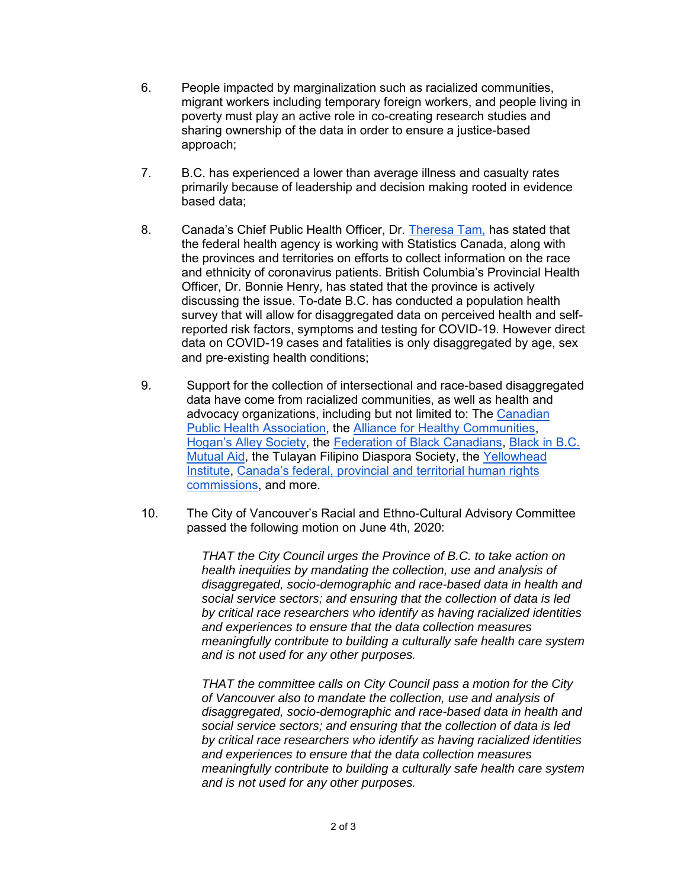- 6. People impacted by marginalization such as racialized communities, migrant workers including temporary foreign workers, and people living in poverty must play an active role in co-creating research studies and sharing ownership of the data in order to ensure a justice-based approach;
- 7. B.C. has experienced a lower than average illness and casualty rates primarily because of leadership and decision making rooted in evidence based data;
- 8. Canada's Chief Public Health Officer, Dr. [Theresa Tam,](https://ipolitics.ca/2020/06/01/toronto-police-city-bylaw-not-collecting-data-on-race-when-enforcing-covid-rules/) has stated that the federal health agency is working with Statistics Canada, along with the provinces and territories on efforts to collect information on the race and ethnicity of coronavirus patients. British Columbia's Provincial Health Officer, Dr. Bonnie Henry, has stated that the province is actively discussing the issue. To-date B.C. has conducted a population health survey that will allow for disaggregated data on perceived health and selfreported risk factors, symptoms and testing for COVID-19. However direct data on COVID-19 cases and fatalities is only disaggregated by age, sex and pre-existing health conditions;
- 9. Support for the collection of intersectional and race-based disaggregated data have come from racialized communities, as well as health and advocacy organizations, including but not limited to: The [Canadian](https://www.cpha.ca/cpha-calls-culturally-safe-collection-and-use-socio-demographic-and-race-based-data)  [Public Health Association,](https://www.cpha.ca/cpha-calls-culturally-safe-collection-and-use-socio-demographic-and-race-based-data) the [Alliance for Healthy Communities,](https://www.allianceon.org/news/Letter-Premier-Ford-Deputy-Premier-Elliott-and-Dr-Williams-regarding-need-collect-and-use-socio) [Hogan's Alley Society,](https://thetyee.ca/News/2020/04/30/Race-Matters-Pandemic-Data/) the [Federation of Black Canadians,](https://www.change.org/p/canadian-federal-government-black-canadians-need-to-be-included-in-dedicated-covid-funding-race-based-data-in-canada) [Black in B.C.](https://drive.google.com/file/d/1wPWZTexf9L-RPnGgxJ08sL5tTmi71iJu/view)  [Mutual Aid,](https://drive.google.com/file/d/1wPWZTexf9L-RPnGgxJ08sL5tTmi71iJu/view) the Tulayan Filipino Diaspora Society, the [Yellowhead](https://yellowheadinstitute.org/2020/05/12/colonialism-of-the-curve-indigenous-communities-and-bad-covid-data/)  [Institute,](https://yellowheadinstitute.org/2020/05/12/colonialism-of-the-curve-indigenous-communities-and-bad-covid-data/) [Canada's federal, provincial and territorial human rights](https://bchumanrights.ca/human-rights-commissioners-call-for-a-national-strategy-for-the-collection-of-disaggregated-health-data/)  [commissions,](https://bchumanrights.ca/human-rights-commissioners-call-for-a-national-strategy-for-the-collection-of-disaggregated-health-data/) and more.
- 10. The City of Vancouver's Racial and Ethno-Cultural Advisory Committee passed the following motion on June 4th, 2020:

*THAT the City Council urges the Province of B.C. to take action on health inequities by mandating the collection, use and analysis of disaggregated, socio-demographic and race-based data in health and social service sectors; and ensuring that the collection of data is led by critical race researchers who identify as having racialized identities and experiences to ensure that the data collection measures meaningfully contribute to building a culturally safe health care system and is not used for any other purposes.*

*THAT the committee calls on City Council pass a motion for the City of Vancouver also to mandate the collection, use and analysis of disaggregated, socio-demographic and race-based data in health and social service sectors; and ensuring that the collection of data is led by critical race researchers who identify as having racialized identities and experiences to ensure that the data collection measures meaningfully contribute to building a culturally safe health care system and is not used for any other purposes.*